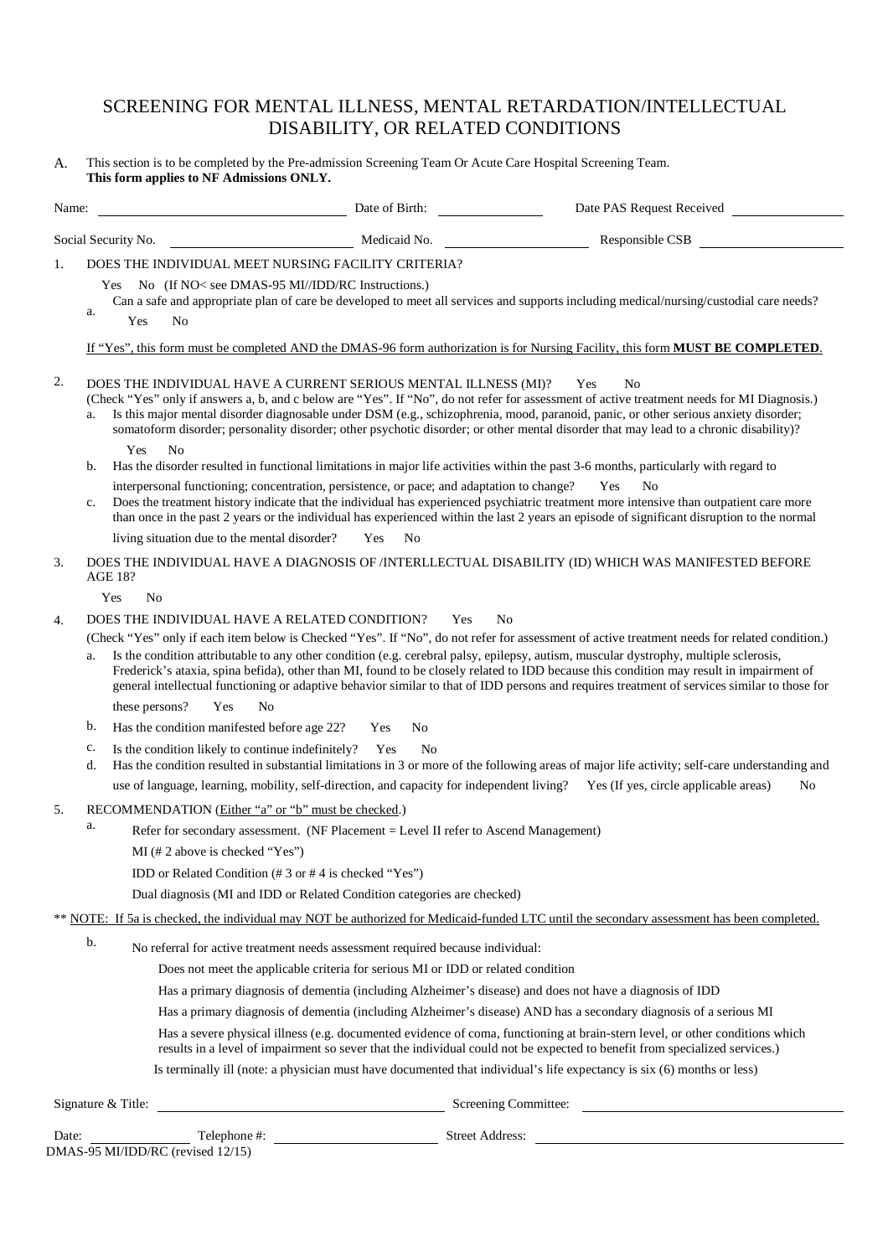# SCREENING FOR MENTAL ILLNESS, MENTAL RETARDATION/INTELLECTUAL DISABILITY, OR RELATED CONDITIONS

A. This section is to be completed by the Pre-admission Screening Team Or Acute Care Hospital Screening Team. **This form applies to NF Admissions ONLY.**

| Name: |          |                                                                                                                                                  | Date of Birth:                                                                                                                                                     | Date PAS Request Received                                                                                                                                                                                                                                                                                                                                                                                                                                                                                                                                                                                                                                                                                                                           |
|-------|----------|--------------------------------------------------------------------------------------------------------------------------------------------------|--------------------------------------------------------------------------------------------------------------------------------------------------------------------|-----------------------------------------------------------------------------------------------------------------------------------------------------------------------------------------------------------------------------------------------------------------------------------------------------------------------------------------------------------------------------------------------------------------------------------------------------------------------------------------------------------------------------------------------------------------------------------------------------------------------------------------------------------------------------------------------------------------------------------------------------|
|       |          | Social Security No.                                                                                                                              | Medicaid No.                                                                                                                                                       | Responsible CSB                                                                                                                                                                                                                                                                                                                                                                                                                                                                                                                                                                                                                                                                                                                                     |
| 1.    | a.       | DOES THE INDIVIDUAL MEET NURSING FACILITY CRITERIA?<br>No (If NO< see DMAS-95 MI//IDD/RC Instructions.)<br><b>Yes</b><br>Yes<br>No               |                                                                                                                                                                    | Can a safe and appropriate plan of care be developed to meet all services and supports including medical/nursing/custodial care needs?                                                                                                                                                                                                                                                                                                                                                                                                                                                                                                                                                                                                              |
| 2.    | a.<br>b. | Yes<br>N <sub>0</sub>                                                                                                                            | DOES THE INDIVIDUAL HAVE A CURRENT SERIOUS MENTAL ILLNESS (MI)?<br>interpersonal functioning; concentration, persistence, or pace; and adaptation to change?       | If "Yes", this form must be completed AND the DMAS-96 form authorization is for Nursing Facility, this form <b>MUST BE COMPLETED</b> .<br>N <sub>0</sub><br>Yes<br>(Check "Yes" only if answers a, b, and c below are "Yes". If "No", do not refer for assessment of active treatment needs for MI Diagnosis.)<br>Is this major mental disorder diagnosable under DSM (e.g., schizophrenia, mood, paranoid, panic, or other serious anxiety disorder;<br>somatoform disorder; personality disorder; other psychotic disorder; or other mental disorder that may lead to a chronic disability)?<br>Has the disorder resulted in functional limitations in major life activities within the past 3-6 months, particularly with regard to<br>No<br>Yes |
|       | c.       | living situation due to the mental disorder?                                                                                                     | Yes<br>No                                                                                                                                                          | Does the treatment history indicate that the individual has experienced psychiatric treatment more intensive than outpatient care more<br>than once in the past 2 years or the individual has experienced within the last 2 years an episode of significant disruption to the normal                                                                                                                                                                                                                                                                                                                                                                                                                                                                |
| 3.    |          | <b>AGE 18?</b>                                                                                                                                   |                                                                                                                                                                    | DOES THE INDIVIDUAL HAVE A DIAGNOSIS OF /INTERLLECTUAL DISABILITY (ID) WHICH WAS MANIFESTED BEFORE                                                                                                                                                                                                                                                                                                                                                                                                                                                                                                                                                                                                                                                  |
|       |          | N <sub>0</sub><br>Yes                                                                                                                            |                                                                                                                                                                    |                                                                                                                                                                                                                                                                                                                                                                                                                                                                                                                                                                                                                                                                                                                                                     |
| 4.    |          | DOES THE INDIVIDUAL HAVE A RELATED CONDITION?                                                                                                    | Yes                                                                                                                                                                | N <sub>0</sub>                                                                                                                                                                                                                                                                                                                                                                                                                                                                                                                                                                                                                                                                                                                                      |
|       | a.       |                                                                                                                                                  |                                                                                                                                                                    | (Check "Yes" only if each item below is Checked "Yes". If "No", do not refer for assessment of active treatment needs for related condition.)<br>Is the condition attributable to any other condition (e.g. cerebral palsy, epilepsy, autism, muscular dystrophy, multiple sclerosis,<br>Frederick's ataxia, spina befida), other than MI, found to be closely related to IDD because this condition may result in impairment of<br>general intellectual functioning or adaptive behavior similar to that of IDD persons and requires treatment of services similar to those for                                                                                                                                                                    |
|       |          | these persons?<br>Yes<br>N <sub>0</sub>                                                                                                          |                                                                                                                                                                    |                                                                                                                                                                                                                                                                                                                                                                                                                                                                                                                                                                                                                                                                                                                                                     |
|       | b.       | Has the condition manifested before age 22?                                                                                                      | No<br>Yes                                                                                                                                                          |                                                                                                                                                                                                                                                                                                                                                                                                                                                                                                                                                                                                                                                                                                                                                     |
|       | c.<br>d. | Is the condition likely to continue indefinitely?                                                                                                | No<br>Yes                                                                                                                                                          | Has the condition resulted in substantial limitations in 3 or more of the following areas of major life activity; self-care understanding and                                                                                                                                                                                                                                                                                                                                                                                                                                                                                                                                                                                                       |
|       |          |                                                                                                                                                  |                                                                                                                                                                    | use of language, learning, mobility, self-direction, and capacity for independent living? Yes (If yes, circle applicable areas)<br>No                                                                                                                                                                                                                                                                                                                                                                                                                                                                                                                                                                                                               |
| 5.    | a.       | RECOMMENDATION (Either "a" or "b" must be checked.)<br>$MI$ (# 2 above is checked "Yes")<br>IDD or Related Condition (#3 or #4 is checked "Yes") | Refer for secondary assessment. (NF Placement = Level II refer to Ascend Management)<br>Dual diagnosis (MI and IDD or Related Condition categories are checked)    |                                                                                                                                                                                                                                                                                                                                                                                                                                                                                                                                                                                                                                                                                                                                                     |
|       |          |                                                                                                                                                  |                                                                                                                                                                    | ** NOTE: If 5a is checked, the individual may NOT be authorized for Medicaid-funded LTC until the secondary assessment has been completed.                                                                                                                                                                                                                                                                                                                                                                                                                                                                                                                                                                                                          |
|       | b.       |                                                                                                                                                  | No referral for active treatment needs assessment required because individual:<br>Does not meet the applicable criteria for serious MI or IDD or related condition | Has a primary diagnosis of dementia (including Alzheimer's disease) and does not have a diagnosis of IDD<br>Has a primary diagnosis of dementia (including Alzheimer's disease) AND has a secondary diagnosis of a serious MI<br>Has a severe physical illness (e.g. documented evidence of coma, functioning at brain-stern level, or other conditions which<br>results in a level of impairment so sever that the individual could not be expected to benefit from specialized services.)<br>Is terminally ill (note: a physician must have documented that individual's life expectancy is six (6) months or less)                                                                                                                               |
|       |          | Signature & Title:                                                                                                                               |                                                                                                                                                                    | Screening Committee:                                                                                                                                                                                                                                                                                                                                                                                                                                                                                                                                                                                                                                                                                                                                |

Date: <u>Telephone</u> #: Telephone #: Street Address: DMAS-95 MI/IDD/RC (revised 12/15)